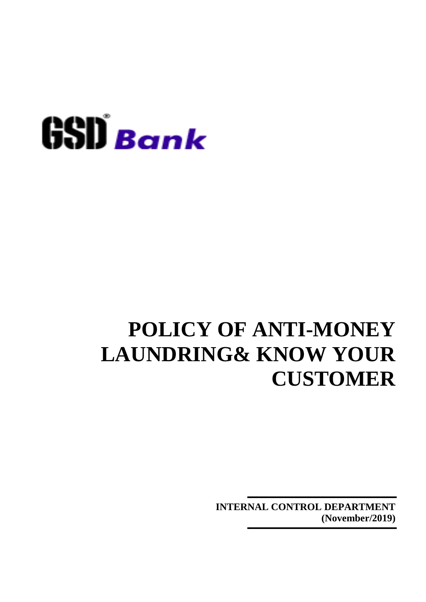

**INTERNAL CONTROL DEPARTMENT (November/2019)**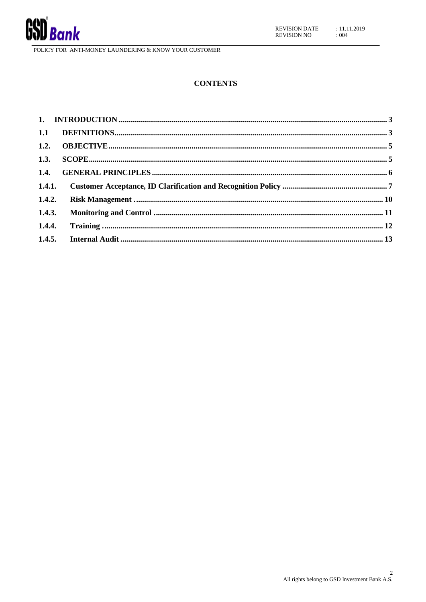

#### **CONTENTS**

|        | 1.4.1. |  |
|--------|--------|--|
|        |        |  |
| 1.4.3. |        |  |
|        |        |  |
|        |        |  |
|        |        |  |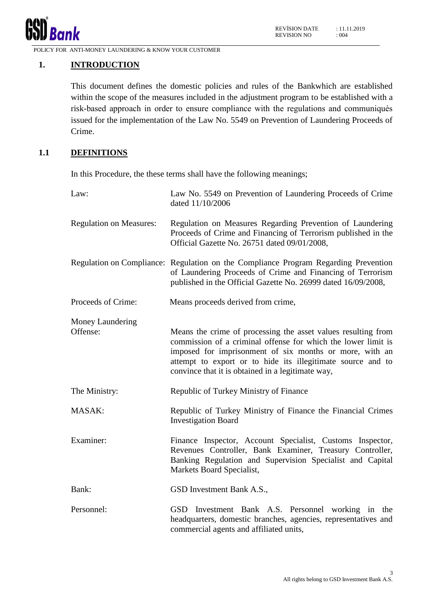

# <span id="page-2-0"></span>**1. INTRODUCTION**

This document defines the domestic policies and rules of the Bankwhich are established within the scope of the measures included in the adjustment program to be established with a risk-based approach in order to ensure compliance with the regulations and communiqués issued for the implementation of the Law No. 5549 on Prevention of Laundering Proceeds of Crime.

# <span id="page-2-1"></span>**1.1 DEFINITIONS**

In this Procedure, the these terms shall have the following meanings;

| Law:                           | Law No. 5549 on Prevention of Laundering Proceeds of Crime<br>dated 11/10/2006                                                                                                                                                                                                                                |
|--------------------------------|---------------------------------------------------------------------------------------------------------------------------------------------------------------------------------------------------------------------------------------------------------------------------------------------------------------|
| <b>Regulation on Measures:</b> | Regulation on Measures Regarding Prevention of Laundering<br>Proceeds of Crime and Financing of Terrorism published in the<br>Official Gazette No. 26751 dated 09/01/2008,                                                                                                                                    |
|                                | Regulation on Compliance: Regulation on the Compliance Program Regarding Prevention<br>of Laundering Proceeds of Crime and Financing of Terrorism<br>published in the Official Gazette No. 26999 dated 16/09/2008,                                                                                            |
| Proceeds of Crime:             | Means proceeds derived from crime,                                                                                                                                                                                                                                                                            |
| Money Laundering<br>Offense:   | Means the crime of processing the asset values resulting from<br>commission of a criminal offense for which the lower limit is<br>imposed for imprisonment of six months or more, with an<br>attempt to export or to hide its illegitimate source and to<br>convince that it is obtained in a legitimate way, |
| The Ministry:                  | Republic of Turkey Ministry of Finance                                                                                                                                                                                                                                                                        |
| MASAK:                         | Republic of Turkey Ministry of Finance the Financial Crimes<br><b>Investigation Board</b>                                                                                                                                                                                                                     |
| Examiner:                      | Finance Inspector, Account Specialist, Customs Inspector,<br>Revenues Controller, Bank Examiner, Treasury Controller,<br>Banking Regulation and Supervision Specialist and Capital<br>Markets Board Specialist,                                                                                               |
| Bank:                          | GSD Investment Bank A.S.,                                                                                                                                                                                                                                                                                     |
| Personnel:                     | GSD Investment Bank A.S. Personnel working in the<br>headquarters, domestic branches, agencies, representatives and<br>commercial agents and affiliated units,                                                                                                                                                |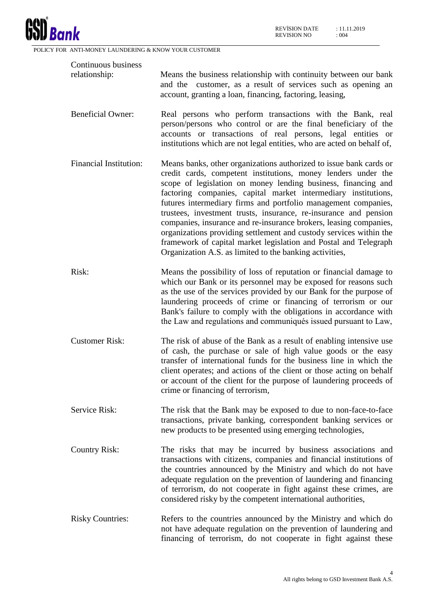

| Continuous business      |                                                                                                                                                                                                                                                                                                                                                                                                                                                                                                                                                                                                                                                                                        |
|--------------------------|----------------------------------------------------------------------------------------------------------------------------------------------------------------------------------------------------------------------------------------------------------------------------------------------------------------------------------------------------------------------------------------------------------------------------------------------------------------------------------------------------------------------------------------------------------------------------------------------------------------------------------------------------------------------------------------|
| relationship:            | Means the business relationship with continuity between our bank<br>and the customer, as a result of services such as opening an<br>account, granting a loan, financing, factoring, leasing,                                                                                                                                                                                                                                                                                                                                                                                                                                                                                           |
| <b>Beneficial Owner:</b> | Real persons who perform transactions with the Bank, real<br>person/persons who control or are the final beneficiary of the<br>accounts or transactions of real persons, legal entities or<br>institutions which are not legal entities, who are acted on behalf of,                                                                                                                                                                                                                                                                                                                                                                                                                   |
| Financial Institution:   | Means banks, other organizations authorized to issue bank cards or<br>credit cards, competent institutions, money lenders under the<br>scope of legislation on money lending business, financing and<br>factoring companies, capital market intermediary institutions,<br>futures intermediary firms and portfolio management companies,<br>trustees, investment trusts, insurance, re-insurance and pension<br>companies, insurance and re-insurance brokers, leasing companies,<br>organizations providing settlement and custody services within the<br>framework of capital market legislation and Postal and Telegraph<br>Organization A.S. as limited to the banking activities, |
| Risk:                    | Means the possibility of loss of reputation or financial damage to<br>which our Bank or its personnel may be exposed for reasons such<br>as the use of the services provided by our Bank for the purpose of<br>laundering proceeds of crime or financing of terrorism or our<br>Bank's failure to comply with the obligations in accordance with<br>the Law and regulations and communiqués issued pursuant to Law,                                                                                                                                                                                                                                                                    |
| <b>Customer Risk:</b>    | The risk of abuse of the Bank as a result of enabling intensive use<br>of cash, the purchase or sale of high value goods or the easy<br>transfer of international funds for the business line in which the<br>client operates; and actions of the client or those acting on behalf<br>or account of the client for the purpose of laundering proceeds of<br>crime or financing of terrorism,                                                                                                                                                                                                                                                                                           |
| Service Risk:            | The risk that the Bank may be exposed to due to non-face-to-face<br>transactions, private banking, correspondent banking services or<br>new products to be presented using emerging technologies,                                                                                                                                                                                                                                                                                                                                                                                                                                                                                      |
| <b>Country Risk:</b>     | The risks that may be incurred by business associations and<br>transactions with citizens, companies and financial institutions of<br>the countries announced by the Ministry and which do not have<br>adequate regulation on the prevention of laundering and financing<br>of terrorism, do not cooperate in fight against these crimes, are<br>considered risky by the competent international authorities,                                                                                                                                                                                                                                                                          |
| <b>Risky Countries:</b>  | Refers to the countries announced by the Ministry and which do<br>not have adequate regulation on the prevention of laundering and<br>financing of terrorism, do not cooperate in fight against these                                                                                                                                                                                                                                                                                                                                                                                                                                                                                  |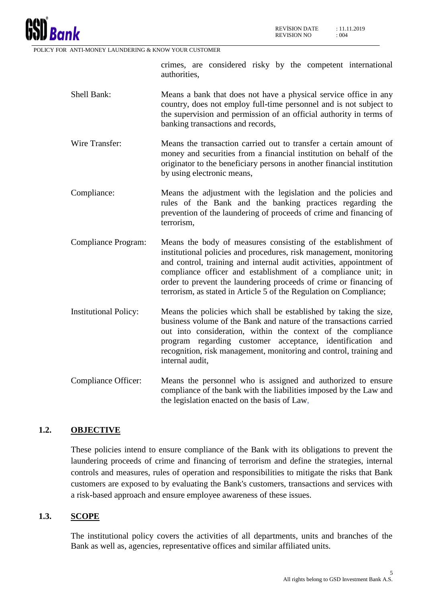

crimes, are considered risky by the competent international authorities,

- Shell Bank: Means a bank that does not have a physical service office in any country, does not employ full-time personnel and is not subject to the supervision and permission of an official authority in terms of banking transactions and records,
- Wire Transfer: Means the transaction carried out to transfer a certain amount of money and securities from a financial institution on behalf of the originator to the beneficiary persons in another financial institution by using electronic means,
- Compliance: Means the adjustment with the legislation and the policies and rules of the Bank and the banking practices regarding the prevention of the laundering of proceeds of crime and financing of terrorism,
- Compliance Program: Means the body of measures consisting of the establishment of institutional policies and procedures, risk management, monitoring and control, training and internal audit activities, appointment of compliance officer and establishment of a compliance unit; in order to prevent the laundering proceeds of crime or financing of terrorism, as stated in Article 5 of the Regulation on Compliance;
- Institutional Policy: Means the policies which shall be established by taking the size, business volume of the Bank and nature of the transactions carried out into consideration, within the context of the compliance program regarding customer acceptance, identification and recognition, risk management, monitoring and control, training and internal audit,
- Compliance Officer: Means the personnel who is assigned and authorized to ensure compliance of the bank with the liabilities imposed by the Law and the legislation enacted on the basis of Law,

# <span id="page-4-0"></span>**1.2. OBJECTIVE**

These policies intend to ensure compliance of the Bank with its obligations to prevent the laundering proceeds of crime and financing of terrorism and define the strategies, internal controls and measures, rules of operation and responsibilities to mitigate the risks that Bank customers are exposed to by evaluating the Bank's customers, transactions and services with a risk-based approach and ensure employee awareness of these issues.

# <span id="page-4-1"></span>**1.3. SCOPE**

The institutional policy covers the activities of all departments, units and branches of the Bank as well as, agencies, representative offices and similar affiliated units.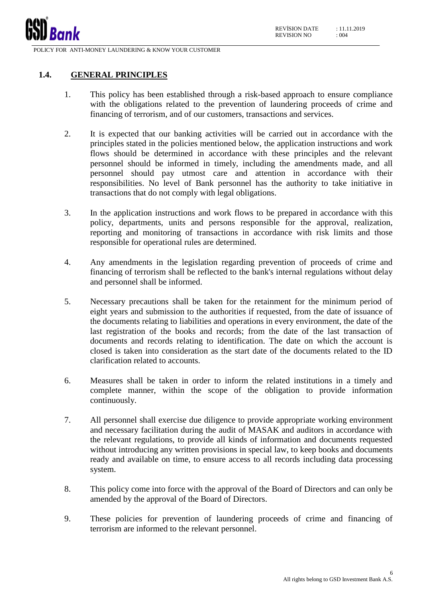

#### <span id="page-5-0"></span>**1.4. GENERAL PRINCIPLES**

- 1. This policy has been established through a risk-based approach to ensure compliance with the obligations related to the prevention of laundering proceeds of crime and financing of terrorism, and of our customers, transactions and services.
- 2. It is expected that our banking activities will be carried out in accordance with the principles stated in the policies mentioned below, the application instructions and work flows should be determined in accordance with these principles and the relevant personnel should be informed in timely, including the amendments made, and all personnel should pay utmost care and attention in accordance with their responsibilities. No level of Bank personnel has the authority to take initiative in transactions that do not comply with legal obligations.
- 3. In the application instructions and work flows to be prepared in accordance with this policy, departments, units and persons responsible for the approval, realization, reporting and monitoring of transactions in accordance with risk limits and those responsible for operational rules are determined.
- 4. Any amendments in the legislation regarding prevention of proceeds of crime and financing of terrorism shall be reflected to the bank's internal regulations without delay and personnel shall be informed.
- 5. Necessary precautions shall be taken for the retainment for the minimum period of eight years and submission to the authorities if requested, from the date of issuance of the documents relating to liabilities and operations in every environment, the date of the last registration of the books and records; from the date of the last transaction of documents and records relating to identification. The date on which the account is closed is taken into consideration as the start date of the documents related to the ID clarification related to accounts.
- 6. Measures shall be taken in order to inform the related institutions in a timely and complete manner, within the scope of the obligation to provide information continuously.
- 7. All personnel shall exercise due diligence to provide appropriate working environment and necessary facilitation during the audit of MASAK and auditors in accordance with the relevant regulations, to provide all kinds of information and documents requested without introducing any written provisions in special law, to keep books and documents ready and available on time, to ensure access to all records including data processing system.
- 8. This policy come into force with the approval of the Board of Directors and can only be amended by the approval of the Board of Directors.
- 9. These policies for prevention of laundering proceeds of crime and financing of terrorism are informed to the relevant personnel.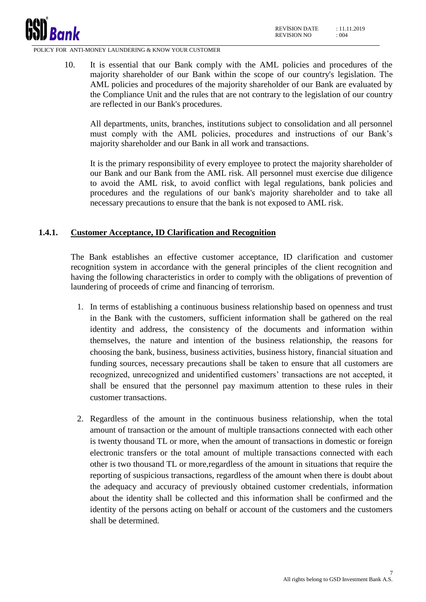

10. It is essential that our Bank comply with the AML policies and procedures of the majority shareholder of our Bank within the scope of our country's legislation. The AML policies and procedures of the majority shareholder of our Bank are evaluated by the Compliance Unit and the rules that are not contrary to the legislation of our country are reflected in our Bank's procedures.

All departments, units, branches, institutions subject to consolidation and all personnel must comply with the AML policies, procedures and instructions of our Bank's majority shareholder and our Bank in all work and transactions.

It is the primary responsibility of every employee to protect the majority shareholder of our Bank and our Bank from the AML risk. All personnel must exercise due diligence to avoid the AML risk, to avoid conflict with legal regulations, bank policies and procedures and the regulations of our bank's majority shareholder and to take all necessary precautions to ensure that the bank is not exposed to AML risk.

#### <span id="page-6-0"></span>**1.4.1. Customer Acceptance, ID Clarification and Recognition**

The Bank establishes an effective customer acceptance, ID clarification and customer recognition system in accordance with the general principles of the client recognition and having the following characteristics in order to comply with the obligations of prevention of laundering of proceeds of crime and financing of terrorism.

- 1. In terms of establishing a continuous business relationship based on openness and trust in the Bank with the customers, sufficient information shall be gathered on the real identity and address, the consistency of the documents and information within themselves, the nature and intention of the business relationship, the reasons for choosing the bank, business, business activities, business history, financial situation and funding sources, necessary precautions shall be taken to ensure that all customers are recognized, unrecognized and unidentified customers' transactions are not accepted, it shall be ensured that the personnel pay maximum attention to these rules in their customer transactions.
- 2. Regardless of the amount in the continuous business relationship, when the total amount of transaction or the amount of multiple transactions connected with each other is twenty thousand TL or more, when the amount of transactions in domestic or foreign electronic transfers or the total amount of multiple transactions connected with each other is two thousand TL or more,regardless of the amount in situations that require the reporting of suspicious transactions, regardless of the amount when there is doubt about the adequacy and accuracy of previously obtained customer credentials, information about the identity shall be collected and this information shall be confirmed and the identity of the persons acting on behalf or account of the customers and the customers shall be determined.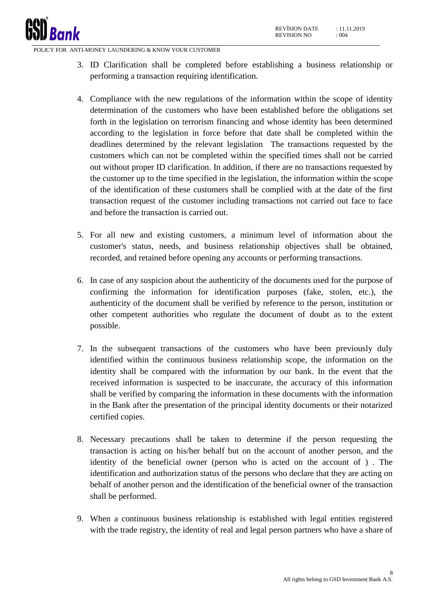

- 3. ID Clarification shall be completed before establishing a business relationship or performing a transaction requiring identification.
- 4. Compliance with the new regulations of the information within the scope of identity determination of the customers who have been established before the obligations set forth in the legislation on terrorism financing and whose identity has been determined according to the legislation in force before that date shall be completed within the deadlines determined by the relevant legislation The transactions requested by the customers which can not be completed within the specified times shall not be carried out without proper ID clarification. In addition, if there are no transactions requested by the customer up to the time specified in the legislation, the information within the scope of the identification of these customers shall be complied with at the date of the first transaction request of the customer including transactions not carried out face to face and before the transaction is carried out.
- 5. For all new and existing customers, a minimum level of information about the customer's status, needs, and business relationship objectives shall be obtained, recorded, and retained before opening any accounts or performing transactions.
- 6. In case of any suspicion about the authenticity of the documents used for the purpose of confirming the information for identification purposes (fake, stolen, etc.), the authenticity of the document shall be verified by reference to the person, institution or other competent authorities who regulate the document of doubt as to the extent possible.
- 7. In the subsequent transactions of the customers who have been previously duly identified within the continuous business relationship scope, the information on the identity shall be compared with the information by our bank. In the event that the received information is suspected to be inaccurate, the accuracy of this information shall be verified by comparing the information in these documents with the information in the Bank after the presentation of the principal identity documents or their notarized certified copies.
- 8. Necessary precautions shall be taken to determine if the person requesting the transaction is acting on his/her behalf but on the account of another person, and the identity of the beneficial owner (person who is acted on the account of ) . The identification and authorization status of the persons who declare that they are acting on behalf of another person and the identification of the beneficial owner of the transaction shall be performed.
- 9. When a continuous business relationship is established with legal entities registered with the trade registry, the identity of real and legal person partners who have a share of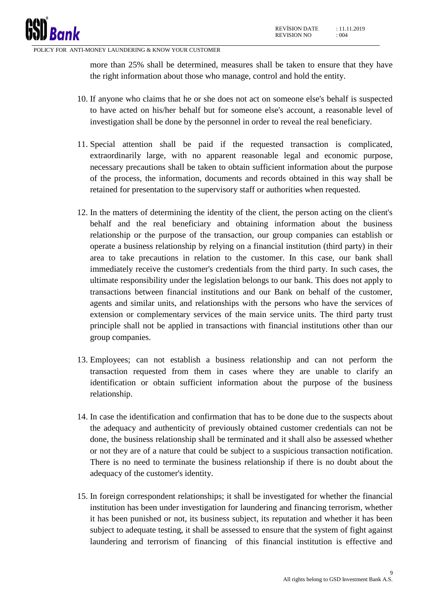more than 25% shall be determined, measures shall be taken to ensure that they have the right information about those who manage, control and hold the entity.

- 10. If anyone who claims that he or she does not act on someone else's behalf is suspected to have acted on his/her behalf but for someone else's account, a reasonable level of investigation shall be done by the personnel in order to reveal the real beneficiary.
- 11. Special attention shall be paid if the requested transaction is complicated, extraordinarily large, with no apparent reasonable legal and economic purpose, necessary precautions shall be taken to obtain sufficient information about the purpose of the process, the information, documents and records obtained in this way shall be retained for presentation to the supervisory staff or authorities when requested.
- 12. In the matters of determining the identity of the client, the person acting on the client's behalf and the real beneficiary and obtaining information about the business relationship or the purpose of the transaction, our group companies can establish or operate a business relationship by relying on a financial institution (third party) in their area to take precautions in relation to the customer. In this case, our bank shall immediately receive the customer's credentials from the third party. In such cases, the ultimate responsibility under the legislation belongs to our bank. This does not apply to transactions between financial institutions and our Bank on behalf of the customer, agents and similar units, and relationships with the persons who have the services of extension or complementary services of the main service units. The third party trust principle shall not be applied in transactions with financial institutions other than our group companies.
- 13. Employees; can not establish a business relationship and can not perform the transaction requested from them in cases where they are unable to clarify an identification or obtain sufficient information about the purpose of the business relationship.
- 14. In case the identification and confirmation that has to be done due to the suspects about the adequacy and authenticity of previously obtained customer credentials can not be done, the business relationship shall be terminated and it shall also be assessed whether or not they are of a nature that could be subject to a suspicious transaction notification. There is no need to terminate the business relationship if there is no doubt about the adequacy of the customer's identity.
- 15. In foreign correspondent relationships; it shall be investigated for whether the financial institution has been under investigation for laundering and financing terrorism, whether it has been punished or not, its business subject, its reputation and whether it has been subject to adequate testing, it shall be assessed to ensure that the system of fight against laundering and terrorism of financing of this financial institution is effective and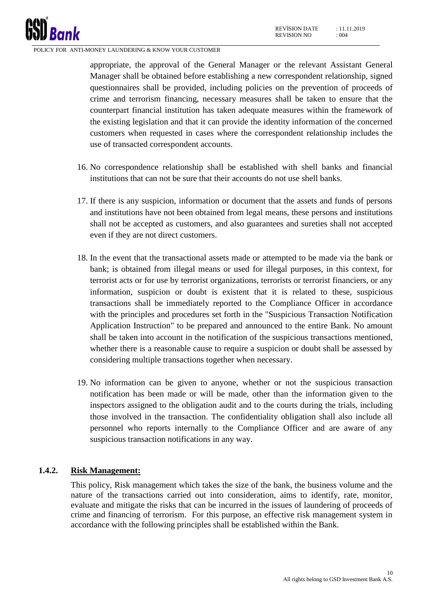appropriate, the approval of the General Manager or the relevant Assistant General Manager shall be obtained before establishing a new correspondent relationship, signed questionnaires shall be provided, including policies on the prevention of proceeds of crime and terrorism financing, necessary measures shall be taken to ensure that the counterpart financial institution has taken adequate measures within the framework of the existing legislation and that it can provide the identity information of the concerned customers when requested in cases where the correspondent relationship includes the use of transacted correspondent accounts.

- 16. No correspondence relationship shall be established with shell banks and financial institutions that can not be sure that their accounts do not use shell banks.
- 17. If there is any suspicion, information or document that the assets and funds of persons and institutions have not been obtained from legal means, these persons and institutions shall not be accepted as customers, and also guarantees and sureties shall not accepted even if they are not direct customers.
- 18. In the event that the transactional assets made or attempted to be made via the bank or bank; is obtained from illegal means or used for illegal purposes, in this context, for terrorist acts or for use by terrorist organizations, terrorists or terrorist financiers, or any information, suspicion or doubt is existent that it is related to these, suspicious transactions shall be immediately reported to the Compliance Officer in accordance with the principles and procedures set forth in the "Suspicious Transaction Notification Application Instruction" to be prepared and announced to the entire Bank. No amount shall be taken into account in the notification of the suspicious transactions mentioned, whether there is a reasonable cause to require a suspicion or doubt shall be assessed by considering multiple transactions together when necessary.
- 19. No information can be given to anyone, whether or not the suspicious transaction notification has been made or will be made, other than the information given to the inspectors assigned to the obligation audit and to the courts during the trials, including those involved in the transaction. The confidentiality obligation shall also include all personnel who reports internally to the Compliance Officer and are aware of any suspicious transaction notifications in any way.

# <span id="page-9-0"></span>**1.4.2. Risk Management:**

This policy, Risk management which takes the size of the bank, the business volume and the nature of the transactions carried out into consideration, aims to identify, rate, monitor, evaluate and mitigate the risks that can be incurred in the issues of laundering of proceeds of crime and financing of terrorism. For this purpose, an effective risk management system in accordance with the following principles shall be established within the Bank.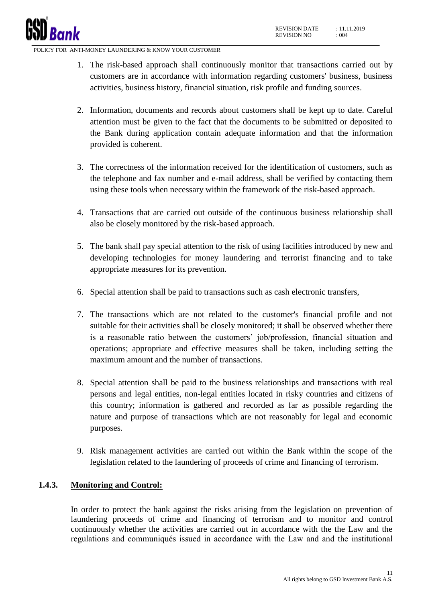

- 1. The risk-based approach shall continuously monitor that transactions carried out by customers are in accordance with information regarding customers' business, business activities, business history, financial situation, risk profile and funding sources.
- 2. Information, documents and records about customers shall be kept up to date. Careful attention must be given to the fact that the documents to be submitted or deposited to the Bank during application contain adequate information and that the information provided is coherent.
- 3. The correctness of the information received for the identification of customers, such as the telephone and fax number and e-mail address, shall be verified by contacting them using these tools when necessary within the framework of the risk-based approach.
- 4. Transactions that are carried out outside of the continuous business relationship shall also be closely monitored by the risk-based approach.
- 5. The bank shall pay special attention to the risk of using facilities introduced by new and developing technologies for money laundering and terrorist financing and to take appropriate measures for its prevention.
- 6. Special attention shall be paid to transactions such as cash electronic transfers,
- 7. The transactions which are not related to the customer's financial profile and not suitable for their activities shall be closely monitored; it shall be observed whether there is a reasonable ratio between the customers' job/profession, financial situation and operations; appropriate and effective measures shall be taken, including setting the maximum amount and the number of transactions.
- 8. Special attention shall be paid to the business relationships and transactions with real persons and legal entities, non-legal entities located in risky countries and citizens of this country; information is gathered and recorded as far as possible regarding the nature and purpose of transactions which are not reasonably for legal and economic purposes.
- 9. Risk management activities are carried out within the Bank within the scope of the legislation related to the laundering of proceeds of crime and financing of terrorism.

#### <span id="page-10-0"></span>**1.4.3. Monitoring and Control:**

In order to protect the bank against the risks arising from the legislation on prevention of laundering proceeds of crime and financing of terrorism and to monitor and control continuously whether the activities are carried out in accordance with the the Law and the regulations and communiqués issued in accordance with the Law and and the institutional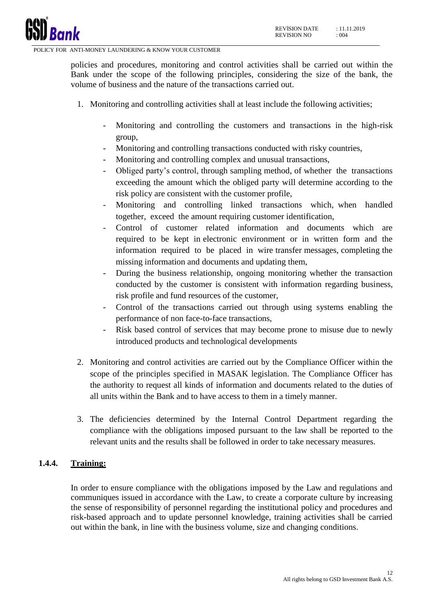

policies and procedures, monitoring and control activities shall be carried out within the Bank under the scope of the following principles, considering the size of the bank, the volume of business and the nature of the transactions carried out.

- 1. Monitoring and controlling activities shall at least include the following activities;
	- Monitoring and controlling the customers and transactions in the high-risk group,
	- Monitoring and controlling transactions conducted with risky countries,
	- Monitoring and controlling complex and unusual transactions,
	- Obliged party's control, through sampling method, of whether the transactions exceeding the amount which the obliged party will determine according to the risk policy are consistent with the customer profile,
	- Monitoring and controlling linked transactions which, when handled together, exceed the amount requiring customer identification,
	- Control of customer related information and documents which are required to be kept in electronic environment or in written form and the information required to be placed in wire transfer messages, completing the missing information and documents and updating them,
	- During the business relationship, ongoing monitoring whether the transaction conducted by the customer is consistent with information regarding business, risk profile and fund resources of the customer,
	- Control of the transactions carried out through using systems enabling the performance of non face-to-face transactions,
	- Risk based control of services that may become prone to misuse due to newly introduced products and technological developments
- 2. Monitoring and control activities are carried out by the Compliance Officer within the scope of the principles specified in MASAK legislation. The Compliance Officer has the authority to request all kinds of information and documents related to the duties of all units within the Bank and to have access to them in a timely manner.
- 3. The deficiencies determined by the Internal Control Department regarding the compliance with the obligations imposed pursuant to the law shall be reported to the relevant units and the results shall be followed in order to take necessary measures.

#### <span id="page-11-0"></span>**1.4.4. Training:**

In order to ensure compliance with the obligations imposed by the Law and regulations and communiques issued in accordance with the Law, to create a corporate culture by increasing the sense of responsibility of personnel regarding the institutional policy and procedures and risk-based approach and to update personnel knowledge, training activities shall be carried out within the bank, in line with the business volume, size and changing conditions.